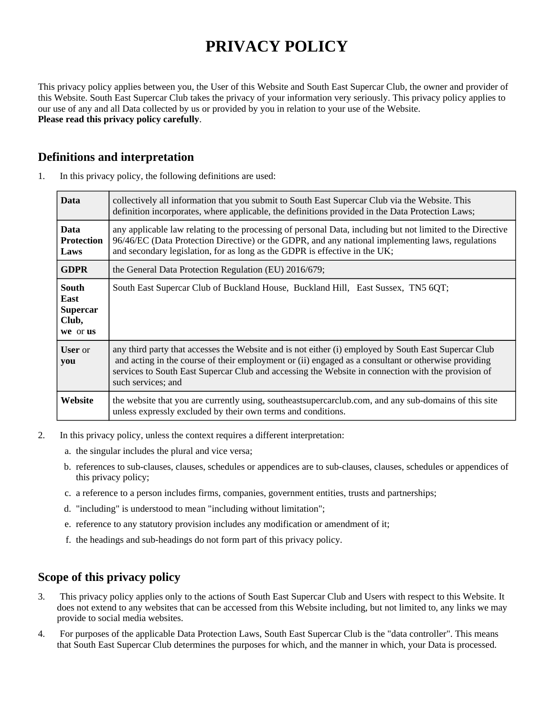# **PRIVACY POLICY**

This privacy policy applies between you, the User of this Website and South East Supercar Club, the owner and provider of this Website. South East Supercar Club takes the privacy of your information very seriously. This privacy policy applies to our use of any and all Data collected by us or provided by you in relation to your use of the Website. **Please read this privacy policy carefully**.

# **Definitions and interpretation**

| <b>Data</b>                                                  | collectively all information that you submit to South East Supercar Club via the Website. This<br>definition incorporates, where applicable, the definitions provided in the Data Protection Laws;                                                                                                                                      |
|--------------------------------------------------------------|-----------------------------------------------------------------------------------------------------------------------------------------------------------------------------------------------------------------------------------------------------------------------------------------------------------------------------------------|
| <b>Data</b><br><b>Protection</b><br>Laws                     | any applicable law relating to the processing of personal Data, including but not limited to the Directive<br>96/46/EC (Data Protection Directive) or the GDPR, and any national implementing laws, regulations<br>and secondary legislation, for as long as the GDPR is effective in the UK;                                           |
| <b>GDPR</b>                                                  | the General Data Protection Regulation (EU) 2016/679;                                                                                                                                                                                                                                                                                   |
| <b>South</b><br>East<br><b>Supercar</b><br>Club,<br>we or us | South East Supercar Club of Buckland House, Buckland Hill, East Sussex, TN5 6QT;                                                                                                                                                                                                                                                        |
| <b>User</b> or<br>you                                        | any third party that accesses the Website and is not either (i) employed by South East Supercar Club<br>and acting in the course of their employment or (ii) engaged as a consultant or otherwise providing<br>services to South East Supercar Club and accessing the Website in connection with the provision of<br>such services; and |
| Website                                                      | the website that you are currently using, southeast supercarclub.com, and any sub-domains of this site<br>unless expressly excluded by their own terms and conditions.                                                                                                                                                                  |

1. In this privacy policy, the following definitions are used:

- 2. In this privacy policy, unless the context requires a different interpretation:
	- a. the singular includes the plural and vice versa;
	- b. references to sub-clauses, clauses, schedules or appendices are to sub-clauses, clauses, schedules or appendices of this privacy policy;
	- c. a reference to a person includes firms, companies, government entities, trusts and partnerships;
	- d. "including" is understood to mean "including without limitation";
	- e. reference to any statutory provision includes any modification or amendment of it;
	- f. the headings and sub-headings do not form part of this privacy policy.

## **Scope of this privacy policy**

- 3. This privacy policy applies only to the actions of South East Supercar Club and Users with respect to this Website. It does not extend to any websites that can be accessed from this Website including, but not limited to, any links we may provide to social media websites.
- 4. For purposes of the applicable Data Protection Laws, South East Supercar Club is the "data controller". This means that South East Supercar Club determines the purposes for which, and the manner in which, your Data is processed.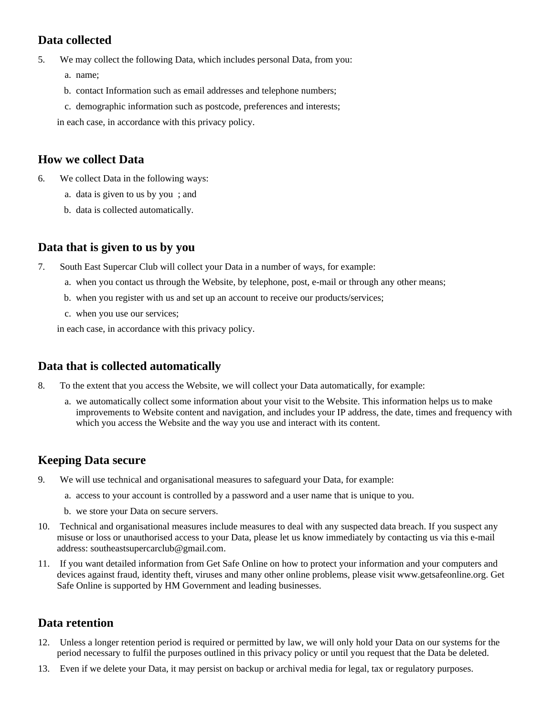# **Data collected**

5. We may collect the following Data, which includes personal Data, from you:

- a. name;
- b. contact Information such as email addresses and telephone numbers;
- c. demographic information such as postcode, preferences and interests;

in each case, in accordance with this privacy policy.

#### **How we collect Data**

- 6. We collect Data in the following ways:
	- a. data is given to us by you ; and
	- b. data is collected automatically.

#### **Data that is given to us by you**

- 7. South East Supercar Club will collect your Data in a number of ways, for example:
	- a. when you contact us through the Website, by telephone, post, e-mail or through any other means;
	- b. when you register with us and set up an account to receive our products/services;
	- c. when you use our services;

in each case, in accordance with this privacy policy.

## **Data that is collected automatically**

- 8. To the extent that you access the Website, we will collect your Data automatically, for example:
	- a. we automatically collect some information about your visit to the Website. This information helps us to make improvements to Website content and navigation, and includes your IP address, the date, times and frequency with which you access the Website and the way you use and interact with its content.

## **Keeping Data secure**

- 9. We will use technical and organisational measures to safeguard your Data, for example:
	- a. access to your account is controlled by a password and a user name that is unique to you.
	- b. we store your Data on secure servers.
- 10. Technical and organisational measures include measures to deal with any suspected data breach. If you suspect any misuse or loss or unauthorised access to your Data, please let us know immediately by contacting us via this e-mail address: southeastsupercarclub@gmail.com.
- 11. If you want detailed information from Get Safe Online on how to protect your information and your computers and devices against fraud, identity theft, viruses and many other online problems, please visit www.getsafeonline.org. Get Safe Online is supported by HM Government and leading businesses.

#### **Data retention**

- 12. Unless a longer retention period is required or permitted by law, we will only hold your Data on our systems for the period necessary to fulfil the purposes outlined in this privacy policy or until you request that the Data be deleted.
- 13. Even if we delete your Data, it may persist on backup or archival media for legal, tax or regulatory purposes.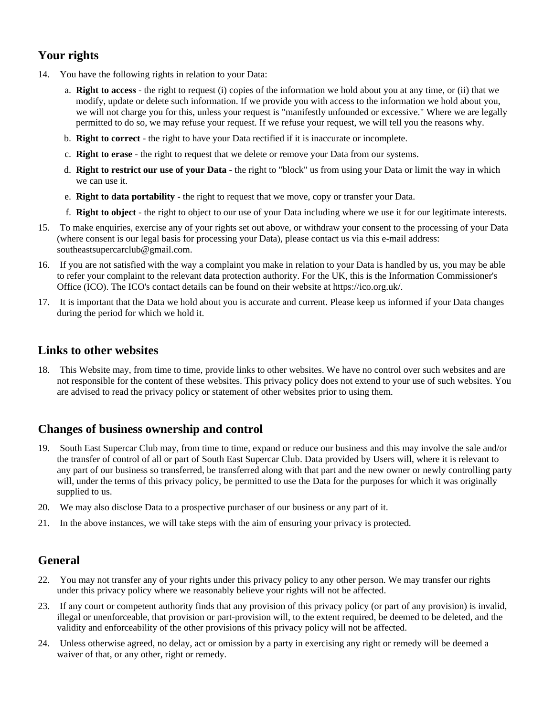# **Your rights**

- 14. You have the following rights in relation to your Data:
	- a. **Right to access** the right to request (i) copies of the information we hold about you at any time, or (ii) that we modify, update or delete such information. If we provide you with access to the information we hold about you, we will not charge you for this, unless your request is "manifestly unfounded or excessive." Where we are legally permitted to do so, we may refuse your request. If we refuse your request, we will tell you the reasons why.
	- b. **Right to correct** the right to have your Data rectified if it is inaccurate or incomplete.
	- c. **Right to erase** the right to request that we delete or remove your Data from our systems.
	- d. **Right to restrict our use of your Data** the right to "block" us from using your Data or limit the way in which we can use it.
	- e. **Right to data portability** the right to request that we move, copy or transfer your Data.
	- f. **Right to object** the right to object to our use of your Data including where we use it for our legitimate interests.
- 15. To make enquiries, exercise any of your rights set out above, or withdraw your consent to the processing of your Data (where consent is our legal basis for processing your Data), please contact us via this e-mail address: southeastsupercarclub@gmail.com.
- 16. If you are not satisfied with the way a complaint you make in relation to your Data is handled by us, you may be able to refer your complaint to the relevant data protection authority. For the UK, this is the Information Commissioner's Office (ICO). The ICO's contact details can be found on their website at https://ico.org.uk/.
- 17. It is important that the Data we hold about you is accurate and current. Please keep us informed if your Data changes during the period for which we hold it.

## **Links to other websites**

18. This Website may, from time to time, provide links to other websites. We have no control over such websites and are not responsible for the content of these websites. This privacy policy does not extend to your use of such websites. You are advised to read the privacy policy or statement of other websites prior to using them.

# **Changes of business ownership and control**

- 19. South East Supercar Club may, from time to time, expand or reduce our business and this may involve the sale and/or the transfer of control of all or part of South East Supercar Club. Data provided by Users will, where it is relevant to any part of our business so transferred, be transferred along with that part and the new owner or newly controlling party will, under the terms of this privacy policy, be permitted to use the Data for the purposes for which it was originally supplied to us.
- 20. We may also disclose Data to a prospective purchaser of our business or any part of it.
- 21. In the above instances, we will take steps with the aim of ensuring your privacy is protected.

# **General**

- 22. You may not transfer any of your rights under this privacy policy to any other person. We may transfer our rights under this privacy policy where we reasonably believe your rights will not be affected.
- 23. If any court or competent authority finds that any provision of this privacy policy (or part of any provision) is invalid, illegal or unenforceable, that provision or part-provision will, to the extent required, be deemed to be deleted, and the validity and enforceability of the other provisions of this privacy policy will not be affected.
- 24. Unless otherwise agreed, no delay, act or omission by a party in exercising any right or remedy will be deemed a waiver of that, or any other, right or remedy.